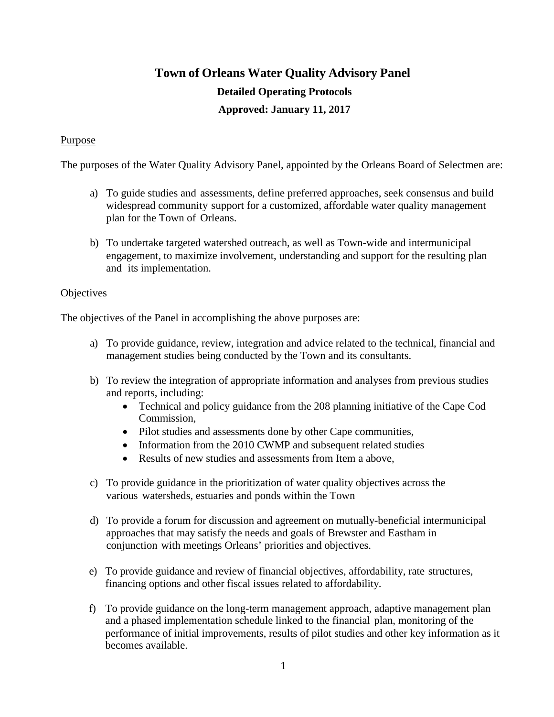# **Town of Orleans Water Quality Advisory Panel Detailed Operating Protocols Approved: January 11, 2017**

# Purpose

The purposes of the Water Quality Advisory Panel, appointed by the Orleans Board of Selectmen are:

- a) To guide studies and assessments, define preferred approaches, seek consensus and build widespread community support for a customized, affordable water quality management plan for the Town of Orleans.
- b) To undertake targeted watershed outreach, as well as Town-wide and intermunicipal engagement, to maximize involvement, understanding and support for the resulting plan and its implementation.

#### **Objectives**

The objectives of the Panel in accomplishing the above purposes are:

- a) To provide guidance, review, integration and advice related to the technical, financial and management studies being conducted by the Town and its consultants.
- b) To review the integration of appropriate information and analyses from previous studies and reports, including:
	- Technical and policy guidance from the 208 planning initiative of the Cape Cod Commission,
	- Pilot studies and assessments done by other Cape communities,
	- Information from the 2010 CWMP and subsequent related studies
	- Results of new studies and assessments from Item a above.
- c) To provide guidance in the prioritization of water quality objectives across the various watersheds, estuaries and ponds within the Town
- d) To provide a forum for discussion and agreement on mutually-beneficial intermunicipal approaches that may satisfy the needs and goals of Brewster and Eastham in conjunction with meetings Orleans' priorities and objectives.
- e) To provide guidance and review of financial objectives, affordability, rate structures, financing options and other fiscal issues related to affordability.
- f) To provide guidance on the long-term management approach, adaptive management plan and a phased implementation schedule linked to the financial plan, monitoring of the performance of initial improvements, results of pilot studies and other key information as it becomes available.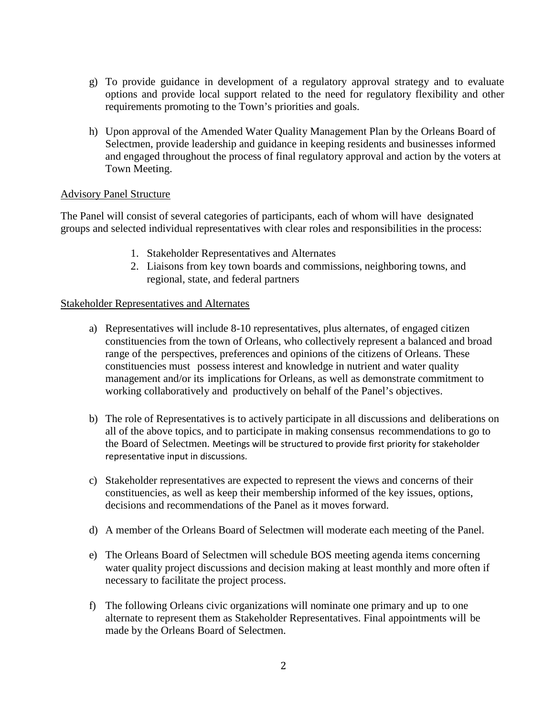- g) To provide guidance in development of a regulatory approval strategy and to evaluate options and provide local support related to the need for regulatory flexibility and other requirements promoting to the Town's priorities and goals.
- h) Upon approval of the Amended Water Quality Management Plan by the Orleans Board of Selectmen, provide leadership and guidance in keeping residents and businesses informed and engaged throughout the process of final regulatory approval and action by the voters at Town Meeting.

## Advisory Panel Structure

The Panel will consist of several categories of participants, each of whom will have designated groups and selected individual representatives with clear roles and responsibilities in the process:

- 1. Stakeholder Representatives and Alternates
- 2. Liaisons from key town boards and commissions, neighboring towns, and regional, state, and federal partners

#### Stakeholder Representatives and Alternates

- a) Representatives will include 8-10 representatives, plus alternates, of engaged citizen constituencies from the town of Orleans, who collectively represent a balanced and broad range of the perspectives, preferences and opinions of the citizens of Orleans. These constituencies must possess interest and knowledge in nutrient and water quality management and/or its implications for Orleans, as well as demonstrate commitment to working collaboratively and productively on behalf of the Panel's objectives.
- b) The role of Representatives is to actively participate in all discussions and deliberations on all of the above topics, and to participate in making consensus recommendations to go to the Board of Selectmen. Meetings will be structured to provide first priority for stakeholder representative input in discussions.
- c) Stakeholder representatives are expected to represent the views and concerns of their constituencies, as well as keep their membership informed of the key issues, options, decisions and recommendations of the Panel as it moves forward.
- d) A member of the Orleans Board of Selectmen will moderate each meeting of the Panel.
- e) The Orleans Board of Selectmen will schedule BOS meeting agenda items concerning water quality project discussions and decision making at least monthly and more often if necessary to facilitate the project process.
- f) The following Orleans civic organizations will nominate one primary and up to one alternate to represent them as Stakeholder Representatives. Final appointments will be made by the Orleans Board of Selectmen.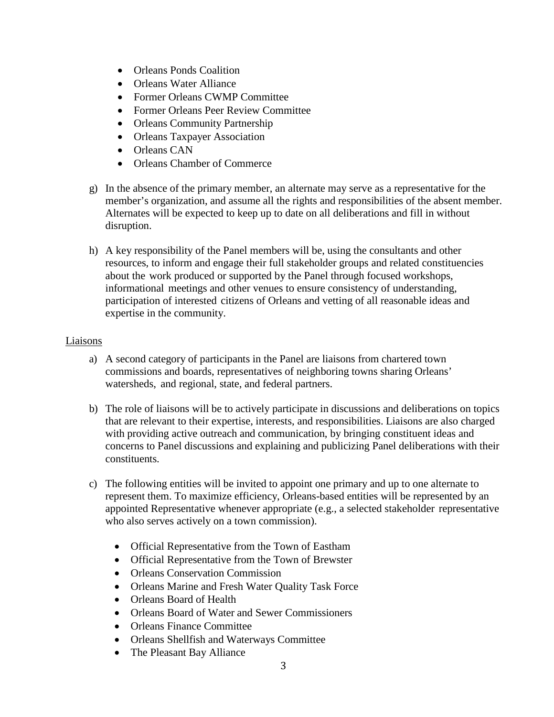- Orleans Ponds Coalition
- Orleans Water Alliance
- Former Orleans CWMP Committee
- Former Orleans Peer Review Committee
- Orleans Community Partnership
- Orleans Taxpayer Association
- Orleans CAN
- Orleans Chamber of Commerce
- g) In the absence of the primary member, an alternate may serve as a representative for the member's organization, and assume all the rights and responsibilities of the absent member. Alternates will be expected to keep up to date on all deliberations and fill in without disruption.
- h) A key responsibility of the Panel members will be, using the consultants and other resources, to inform and engage their full stakeholder groups and related constituencies about the work produced or supported by the Panel through focused workshops, informational meetings and other venues to ensure consistency of understanding, participation of interested citizens of Orleans and vetting of all reasonable ideas and expertise in the community.

#### Liaisons

- a) A second category of participants in the Panel are liaisons from chartered town commissions and boards, representatives of neighboring towns sharing Orleans' watersheds, and regional, state, and federal partners.
- b) The role of liaisons will be to actively participate in discussions and deliberations on topics that are relevant to their expertise, interests, and responsibilities. Liaisons are also charged with providing active outreach and communication, by bringing constituent ideas and concerns to Panel discussions and explaining and publicizing Panel deliberations with their constituents.
- c) The following entities will be invited to appoint one primary and up to one alternate to represent them. To maximize efficiency, Orleans-based entities will be represented by an appointed Representative whenever appropriate (e.g., a selected stakeholder representative who also serves actively on a town commission).
	- Official Representative from the Town of Eastham
	- Official Representative from the Town of Brewster
	- Orleans Conservation Commission
	- Orleans Marine and Fresh Water Quality Task Force
	- Orleans Board of Health
	- Orleans Board of Water and Sewer Commissioners
	- Orleans Finance Committee
	- Orleans Shellfish and Waterways Committee
	- The Pleasant Bay Alliance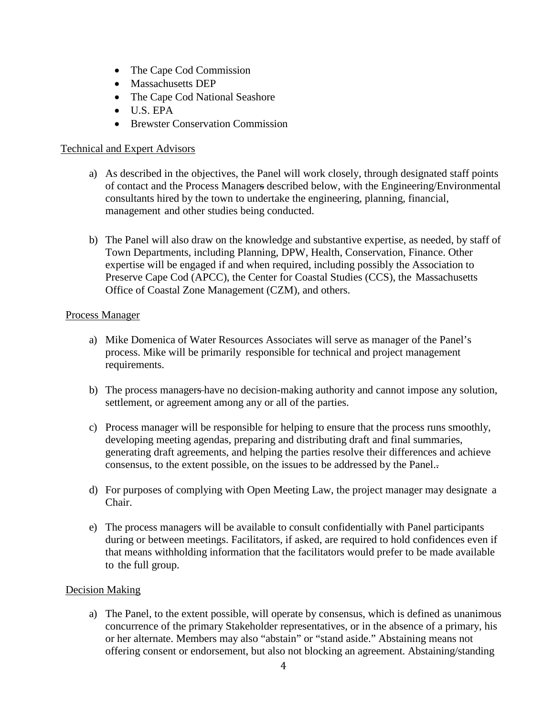- The Cape Cod Commission
- Massachusetts DEP
- The Cape Cod National Seashore
- U.S. EPA
- Brewster Conservation Commission

# Technical and Expert Advisors

- a) As described in the objectives, the Panel will work closely, through designated staff points of contact and the Process Managers described below, with the Engineering/Environmental consultants hired by the town to undertake the engineering, planning, financial, management and other studies being conducted.
- b) The Panel will also draw on the knowledge and substantive expertise, as needed, by staff of Town Departments, including Planning, DPW, Health, Conservation, Finance. Other expertise will be engaged if and when required, including possibly the Association to Preserve Cape Cod (APCC), the Center for Coastal Studies (CCS), the Massachusetts Office of Coastal Zone Management (CZM), and others.

#### Process Manager

- a) Mike Domenica of Water Resources Associates will serve as manager of the Panel's process. Mike will be primarily responsible for technical and project management requirements.
- b) The process managers have no decision-making authority and cannot impose any solution, settlement, or agreement among any or all of the parties.
- c) Process manager will be responsible for helping to ensure that the process runs smoothly, developing meeting agendas, preparing and distributing draft and final summaries, generating draft agreements, and helping the parties resolve their differences and achieve consensus, to the extent possible, on the issues to be addressed by the Panel..
- d) For purposes of complying with Open Meeting Law, the project manager may designate a Chair.
- e) The process managers will be available to consult confidentially with Panel participants during or between meetings. Facilitators, if asked, are required to hold confidences even if that means withholding information that the facilitators would prefer to be made available to the full group.

## Decision Making

a) The Panel, to the extent possible, will operate by consensus, which is defined as unanimous concurrence of the primary Stakeholder representatives, or in the absence of a primary, his or her alternate. Members may also "abstain" or "stand aside." Abstaining means not offering consent or endorsement, but also not blocking an agreement. Abstaining/standing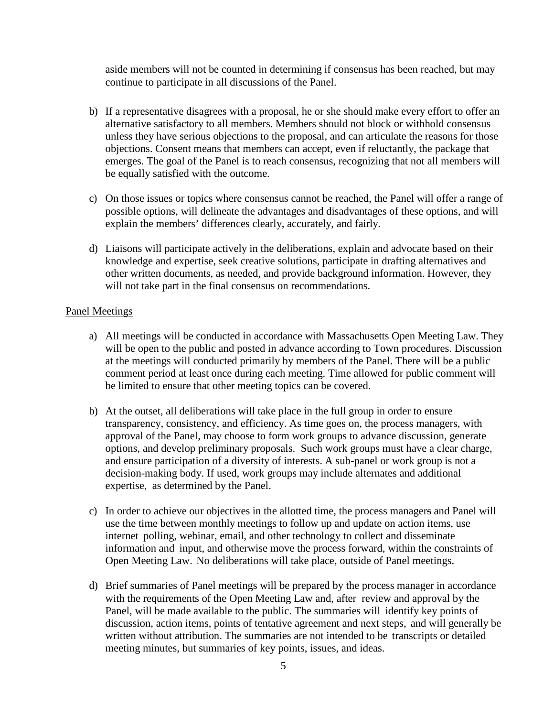aside members will not be counted in determining if consensus has been reached, but may continue to participate in all discussions of the Panel.

- b) If a representative disagrees with a proposal, he or she should make every effort to offer an alternative satisfactory to all members. Members should not block or withhold consensus unless they have serious objections to the proposal, and can articulate the reasons for those objections. Consent means that members can accept, even if reluctantly, the package that emerges. The goal of the Panel is to reach consensus, recognizing that not all members will be equally satisfied with the outcome.
- c) On those issues or topics where consensus cannot be reached, the Panel will offer a range of possible options, will delineate the advantages and disadvantages of these options, and will explain the members' differences clearly, accurately, and fairly.
- d) Liaisons will participate actively in the deliberations, explain and advocate based on their knowledge and expertise, seek creative solutions, participate in drafting alternatives and other written documents, as needed, and provide background information. However, they will not take part in the final consensus on recommendations.

#### Panel Meetings

- a) All meetings will be conducted in accordance with Massachusetts Open Meeting Law. They will be open to the public and posted in advance according to Town procedures. Discussion at the meetings will conducted primarily by members of the Panel. There will be a public comment period at least once during each meeting. Time allowed for public comment will be limited to ensure that other meeting topics can be covered.
- b) At the outset, all deliberations will take place in the full group in order to ensure transparency, consistency, and efficiency. As time goes on, the process managers, with approval of the Panel, may choose to form work groups to advance discussion, generate options, and develop preliminary proposals. Such work groups must have a clear charge, and ensure participation of a diversity of interests. A sub-panel or work group is not a decision-making body. If used, work groups may include alternates and additional expertise, as determined by the Panel.
- c) In order to achieve our objectives in the allotted time, the process managers and Panel will use the time between monthly meetings to follow up and update on action items, use internet polling, webinar, email, and other technology to collect and disseminate information and input, and otherwise move the process forward, within the constraints of Open Meeting Law. No deliberations will take place, outside of Panel meetings.
- d) Brief summaries of Panel meetings will be prepared by the process manager in accordance with the requirements of the Open Meeting Law and, after review and approval by the Panel, will be made available to the public. The summaries will identify key points of discussion, action items, points of tentative agreement and next steps, and will generally be written without attribution. The summaries are not intended to be transcripts or detailed meeting minutes, but summaries of key points, issues, and ideas.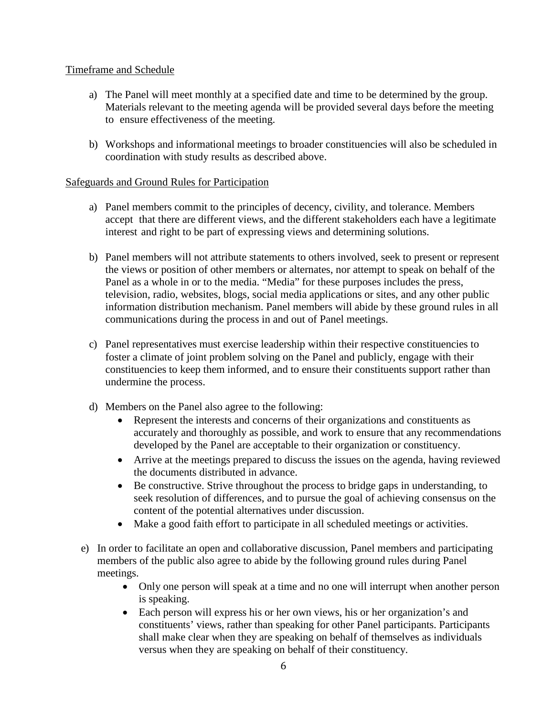## Timeframe and Schedule

- a) The Panel will meet monthly at a specified date and time to be determined by the group. Materials relevant to the meeting agenda will be provided several days before the meeting to ensure effectiveness of the meeting.
- b) Workshops and informational meetings to broader constituencies will also be scheduled in coordination with study results as described above.

# Safeguards and Ground Rules for Participation

- a) Panel members commit to the principles of decency, civility, and tolerance. Members accept that there are different views, and the different stakeholders each have a legitimate interest and right to be part of expressing views and determining solutions.
- b) Panel members will not attribute statements to others involved, seek to present or represent the views or position of other members or alternates, nor attempt to speak on behalf of the Panel as a whole in or to the media. "Media" for these purposes includes the press, television, radio, websites, blogs, social media applications or sites, and any other public information distribution mechanism. Panel members will abide by these ground rules in all communications during the process in and out of Panel meetings.
- c) Panel representatives must exercise leadership within their respective constituencies to foster a climate of joint problem solving on the Panel and publicly, engage with their constituencies to keep them informed, and to ensure their constituents support rather than undermine the process.
- d) Members on the Panel also agree to the following:
	- Represent the interests and concerns of their organizations and constituents as accurately and thoroughly as possible, and work to ensure that any recommendations developed by the Panel are acceptable to their organization or constituency.
	- Arrive at the meetings prepared to discuss the issues on the agenda, having reviewed the documents distributed in advance.
	- Be constructive. Strive throughout the process to bridge gaps in understanding, to seek resolution of differences, and to pursue the goal of achieving consensus on the content of the potential alternatives under discussion.
	- Make a good faith effort to participate in all scheduled meetings or activities.
- e) In order to facilitate an open and collaborative discussion, Panel members and participating members of the public also agree to abide by the following ground rules during Panel meetings.
	- Only one person will speak at a time and no one will interrupt when another person is speaking.
	- Each person will express his or her own views, his or her organization's and constituents' views, rather than speaking for other Panel participants. Participants shall make clear when they are speaking on behalf of themselves as individuals versus when they are speaking on behalf of their constituency.